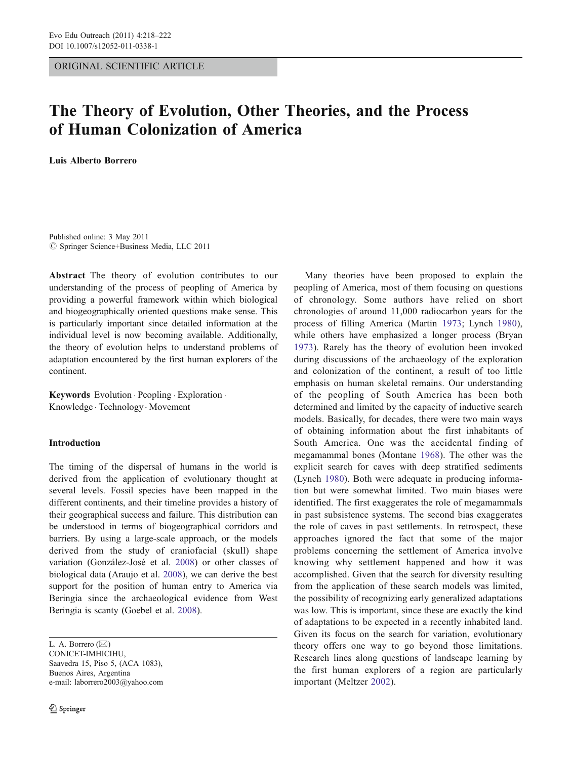ORIGINAL SCIENTIFIC ARTICLE

# The Theory of Evolution, Other Theories, and the Process of Human Colonization of America

Luis Alberto Borrero

Published online: 3 May 2011  $©$  Springer Science+Business Media, LLC 2011

Abstract The theory of evolution contributes to our understanding of the process of peopling of America by providing a powerful framework within which biological and biogeographically oriented questions make sense. This is particularly important since detailed information at the individual level is now becoming available. Additionally, the theory of evolution helps to understand problems of adaptation encountered by the first human explorers of the continent.

Keywords Evolution . Peopling . Exploration . Knowledge . Technology . Movement

#### Introduction

The timing of the dispersal of humans in the world is derived from the application of evolutionary thought at several levels. Fossil species have been mapped in the different continents, and their timeline provides a history of their geographical success and failure. This distribution can be understood in terms of biogeographical corridors and barriers. By using a large-scale approach, or the models derived from the study of craniofacial (skull) shape variation (González-José et al. [2008\)](#page-4-0) or other classes of biological data (Araujo et al. [2008\)](#page-3-0), we can derive the best support for the position of human entry to America via Beringia since the archaeological evidence from West Beringia is scanty (Goebel et al. [2008](#page-4-0)).

L. A. Borrero  $(\boxtimes)$ CONICET-IMHICIHU, Saavedra 15, Piso 5, (ACA 1083), Buenos Aires, Argentina e-mail: laborrero2003@yahoo.com

Many theories have been proposed to explain the peopling of America, most of them focusing on questions of chronology. Some authors have relied on short chronologies of around 11,000 radiocarbon years for the process of filling America (Martin [1973;](#page-4-0) Lynch [1980](#page-4-0)), while others have emphasized a longer process (Bryan [1973](#page-4-0)). Rarely has the theory of evolution been invoked during discussions of the archaeology of the exploration and colonization of the continent, a result of too little emphasis on human skeletal remains. Our understanding of the peopling of South America has been both determined and limited by the capacity of inductive search models. Basically, for decades, there were two main ways of obtaining information about the first inhabitants of South America. One was the accidental finding of megamammal bones (Montane [1968](#page-4-0)). The other was the explicit search for caves with deep stratified sediments (Lynch [1980\)](#page-4-0). Both were adequate in producing information but were somewhat limited. Two main biases were identified. The first exaggerates the role of megamammals in past subsistence systems. The second bias exaggerates the role of caves in past settlements. In retrospect, these approaches ignored the fact that some of the major problems concerning the settlement of America involve knowing why settlement happened and how it was accomplished. Given that the search for diversity resulting from the application of these search models was limited, the possibility of recognizing early generalized adaptations was low. This is important, since these are exactly the kind of adaptations to be expected in a recently inhabited land. Given its focus on the search for variation, evolutionary theory offers one way to go beyond those limitations. Research lines along questions of landscape learning by the first human explorers of a region are particularly important (Meltzer [2002\)](#page-4-0).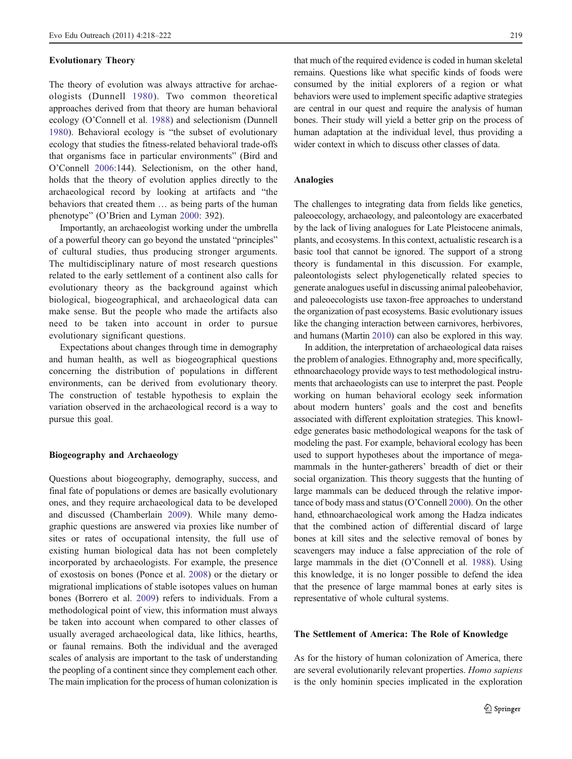#### Evolutionary Theory

The theory of evolution was always attractive for archaeologists (Dunnell [1980\)](#page-4-0). Two common theoretical approaches derived from that theory are human behavioral ecology (O'Connell et al. [1988](#page-4-0)) and selectionism (Dunnell [1980\)](#page-4-0). Behavioral ecology is "the subset of evolutionary ecology that studies the fitness-related behavioral trade-offs that organisms face in particular environments" (Bird and O'Connell [2006:](#page-3-0)144). Selectionism, on the other hand, holds that the theory of evolution applies directly to the archaeological record by looking at artifacts and "the behaviors that created them … as being parts of the human phenotype" (O'Brien and Lyman [2000](#page-4-0): 392).

Importantly, an archaeologist working under the umbrella of a powerful theory can go beyond the unstated "principles" of cultural studies, thus producing stronger arguments. The multidisciplinary nature of most research questions related to the early settlement of a continent also calls for evolutionary theory as the background against which biological, biogeographical, and archaeological data can make sense. But the people who made the artifacts also need to be taken into account in order to pursue evolutionary significant questions.

Expectations about changes through time in demography and human health, as well as biogeographical questions concerning the distribution of populations in different environments, can be derived from evolutionary theory. The construction of testable hypothesis to explain the variation observed in the archaeological record is a way to pursue this goal.

## Biogeography and Archaeology

Questions about biogeography, demography, success, and final fate of populations or demes are basically evolutionary ones, and they require archaeological data to be developed and discussed (Chamberlain [2009\)](#page-4-0). While many demographic questions are answered via proxies like number of sites or rates of occupational intensity, the full use of existing human biological data has not been completely incorporated by archaeologists. For example, the presence of exostosis on bones (Ponce et al. [2008\)](#page-4-0) or the dietary or migrational implications of stable isotopes values on human bones (Borrero et al. [2009](#page-4-0)) refers to individuals. From a methodological point of view, this information must always be taken into account when compared to other classes of usually averaged archaeological data, like lithics, hearths, or faunal remains. Both the individual and the averaged scales of analysis are important to the task of understanding the peopling of a continent since they complement each other. The main implication for the process of human colonization is

that much of the required evidence is coded in human skeletal remains. Questions like what specific kinds of foods were consumed by the initial explorers of a region or what behaviors were used to implement specific adaptive strategies are central in our quest and require the analysis of human bones. Their study will yield a better grip on the process of human adaptation at the individual level, thus providing a wider context in which to discuss other classes of data.

## Analogies

The challenges to integrating data from fields like genetics, paleoecology, archaeology, and paleontology are exacerbated by the lack of living analogues for Late Pleistocene animals, plants, and ecosystems. In this context, actualistic research is a basic tool that cannot be ignored. The support of a strong theory is fundamental in this discussion. For example, paleontologists select phylogenetically related species to generate analogues useful in discussing animal paleobehavior, and paleoecologists use taxon-free approaches to understand the organization of past ecosystems. Basic evolutionary issues like the changing interaction between carnivores, herbivores, and humans (Martin [2010](#page-4-0)) can also be explored in this way.

In addition, the interpretation of archaeological data raises the problem of analogies. Ethnography and, more specifically, ethnoarchaeology provide ways to test methodological instruments that archaeologists can use to interpret the past. People working on human behavioral ecology seek information about modern hunters' goals and the cost and benefits associated with different exploitation strategies. This knowledge generates basic methodological weapons for the task of modeling the past. For example, behavioral ecology has been used to support hypotheses about the importance of megamammals in the hunter-gatherers' breadth of diet or their social organization. This theory suggests that the hunting of large mammals can be deduced through the relative importance of body mass and status (O'Connell [2000](#page-4-0)). On the other hand, ethnoarchaeological work among the Hadza indicates that the combined action of differential discard of large bones at kill sites and the selective removal of bones by scavengers may induce a false appreciation of the role of large mammals in the diet (O'Connell et al. [1988](#page-4-0)). Using this knowledge, it is no longer possible to defend the idea that the presence of large mammal bones at early sites is representative of whole cultural systems.

#### The Settlement of America: The Role of Knowledge

As for the history of human colonization of America, there are several evolutionarily relevant properties. Homo sapiens is the only hominin species implicated in the exploration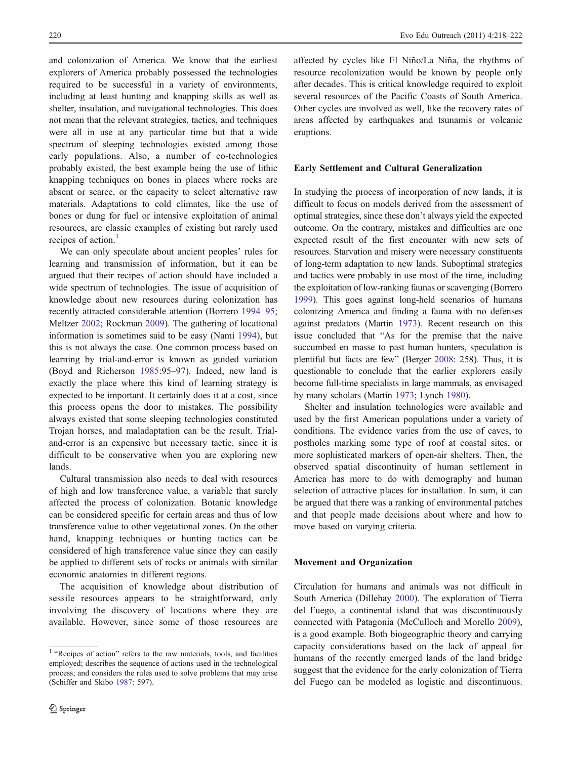and colonization of America. We know that the earliest explorers of America probably possessed the technologies required to be successful in a variety of environments, including at least hunting and knapping skills as well as shelter, insulation, and navigational technologies. This does not mean that the relevant strategies, tactics, and techniques were all in use at any particular time but that a wide spectrum of sleeping technologies existed among those early populations. Also, a number of co-technologies probably existed, the best example being the use of lithic knapping techniques on bones in places where rocks are absent or scarce, or the capacity to select alternative raw materials. Adaptations to cold climates, like the use of bones or dung for fuel or intensive exploitation of animal resources, are classic examples of existing but rarely used recipes of action.<sup>1</sup>

We can only speculate about ancient peoples' rules for learning and transmission of information, but it can be argued that their recipes of action should have included a wide spectrum of technologies. The issue of acquisition of knowledge about new resources during colonization has recently attracted considerable attention (Borrero [1994](#page-3-0)–95; Meltzer [2002;](#page-4-0) Rockman [2009](#page-4-0)). The gathering of locational information is sometimes said to be easy (Nami [1994\)](#page-4-0), but this is not always the case. One common process based on learning by trial-and-error is known as guided variation (Boyd and Richerson [1985:](#page-4-0)95–97). Indeed, new land is exactly the place where this kind of learning strategy is expected to be important. It certainly does it at a cost, since this process opens the door to mistakes. The possibility always existed that some sleeping technologies constituted Trojan horses, and maladaptation can be the result. Trialand-error is an expensive but necessary tactic, since it is difficult to be conservative when you are exploring new lands.

Cultural transmission also needs to deal with resources of high and low transference value, a variable that surely affected the process of colonization. Botanic knowledge can be considered specific for certain areas and thus of low transference value to other vegetational zones. On the other hand, knapping techniques or hunting tactics can be considered of high transference value since they can easily be applied to different sets of rocks or animals with similar economic anatomies in different regions.

The acquisition of knowledge about distribution of sessile resources appears to be straightforward, only involving the discovery of locations where they are available. However, since some of those resources are

affected by cycles like El Niño/La Niña, the rhythms of resource recolonization would be known by people only after decades. This is critical knowledge required to exploit several resources of the Pacific Coasts of South America. Other cycles are involved as well, like the recovery rates of areas affected by earthquakes and tsunamis or volcanic eruptions.

#### Early Settlement and Cultural Generalization

In studying the process of incorporation of new lands, it is difficult to focus on models derived from the assessment of optimal strategies, since these don't always yield the expected outcome. On the contrary, mistakes and difficulties are one expected result of the first encounter with new sets of resources. Starvation and misery were necessary constituents of long-term adaptation to new lands. Suboptimal strategies and tactics were probably in use most of the time, including the exploitation of low-ranking faunas or scavenging (Borrero [1999\)](#page-3-0). This goes against long-held scenarios of humans colonizing America and finding a fauna with no defenses against predators (Martin [1973](#page-4-0)). Recent research on this issue concluded that "As for the premise that the naive succumbed en masse to past human hunters, speculation is plentiful but facts are few" (Berger [2008](#page-3-0): 258). Thus, it is questionable to conclude that the earlier explorers easily become full-time specialists in large mammals, as envisaged by many scholars (Martin [1973](#page-4-0); Lynch [1980\)](#page-4-0).

Shelter and insulation technologies were available and used by the first American populations under a variety of conditions. The evidence varies from the use of caves, to postholes marking some type of roof at coastal sites, or more sophisticated markers of open-air shelters. Then, the observed spatial discontinuity of human settlement in America has more to do with demography and human selection of attractive places for installation. In sum, it can be argued that there was a ranking of environmental patches and that people made decisions about where and how to move based on varying criteria.

## Movement and Organization

Circulation for humans and animals was not difficult in South America (Dillehay [2000](#page-4-0)). The exploration of Tierra del Fuego, a continental island that was discontinuously connected with Patagonia (McCulloch and Morello [2009\)](#page-4-0), is a good example. Both biogeographic theory and carrying capacity considerations based on the lack of appeal for humans of the recently emerged lands of the land bridge suggest that the evidence for the early colonization of Tierra del Fuego can be modeled as logistic and discontinuous.

<sup>&</sup>lt;sup>1</sup> "Recipes of action" refers to the raw materials, tools, and facilities employed; describes the sequence of actions used in the technological process; and considers the rules used to solve problems that may arise (Schiffer and Skibo [1987:](#page-4-0) 597).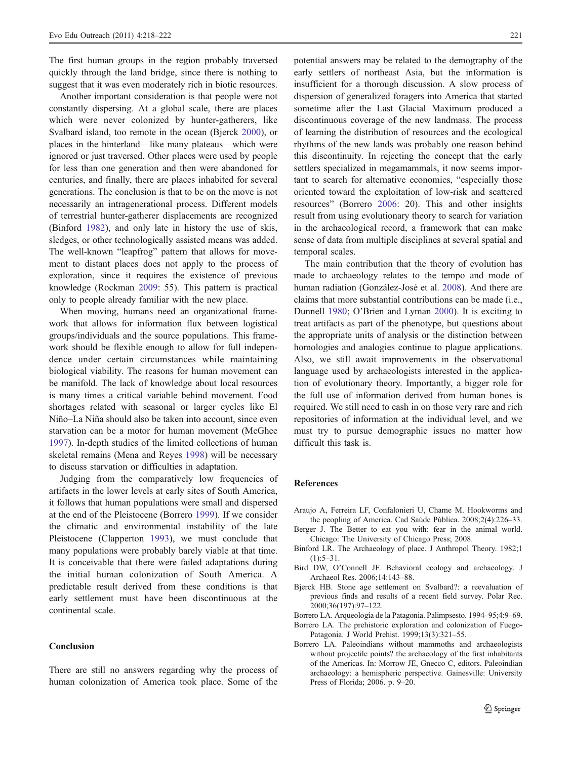<span id="page-3-0"></span>The first human groups in the region probably traversed quickly through the land bridge, since there is nothing to suggest that it was even moderately rich in biotic resources.

Another important consideration is that people were not constantly dispersing. At a global scale, there are places which were never colonized by hunter-gatherers, like Svalbard island, too remote in the ocean (Bjerck 2000), or places in the hinterland—like many plateaus—which were ignored or just traversed. Other places were used by people for less than one generation and then were abandoned for centuries, and finally, there are places inhabited for several generations. The conclusion is that to be on the move is not necessarily an intragenerational process. Different models of terrestrial hunter-gatherer displacements are recognized (Binford 1982), and only late in history the use of skis, sledges, or other technologically assisted means was added. The well-known "leapfrog" pattern that allows for movement to distant places does not apply to the process of exploration, since it requires the existence of previous knowledge (Rockman [2009](#page-4-0): 55). This pattern is practical only to people already familiar with the new place.

When moving, humans need an organizational framework that allows for information flux between logistical groups/individuals and the source populations. This framework should be flexible enough to allow for full independence under certain circumstances while maintaining biological viability. The reasons for human movement can be manifold. The lack of knowledge about local resources is many times a critical variable behind movement. Food shortages related with seasonal or larger cycles like El Niño–La Niña should also be taken into account, since even starvation can be a motor for human movement (McGhee [1997\)](#page-4-0). In-depth studies of the limited collections of human skeletal remains (Mena and Reyes [1998](#page-4-0)) will be necessary to discuss starvation or difficulties in adaptation.

Judging from the comparatively low frequencies of artifacts in the lower levels at early sites of South America, it follows that human populations were small and dispersed at the end of the Pleistocene (Borrero 1999). If we consider the climatic and environmental instability of the late Pleistocene (Clapperton [1993](#page-4-0)), we must conclude that many populations were probably barely viable at that time. It is conceivable that there were failed adaptations during the initial human colonization of South America. A predictable result derived from these conditions is that early settlement must have been discontinuous at the continental scale.

## Conclusion

There are still no answers regarding why the process of human colonization of America took place. Some of the

potential answers may be related to the demography of the early settlers of northeast Asia, but the information is insufficient for a thorough discussion. A slow process of dispersion of generalized foragers into America that started sometime after the Last Glacial Maximum produced a discontinuous coverage of the new landmass. The process of learning the distribution of resources and the ecological rhythms of the new lands was probably one reason behind this discontinuity. In rejecting the concept that the early settlers specialized in megamammals, it now seems important to search for alternative economies, "especially those oriented toward the exploitation of low-risk and scattered resources" (Borrero 2006: 20). This and other insights result from using evolutionary theory to search for variation in the archaeological record, a framework that can make sense of data from multiple disciplines at several spatial and temporal scales.

The main contribution that the theory of evolution has made to archaeology relates to the tempo and mode of human radiation (González-José et al. [2008\)](#page-4-0). And there are claims that more substantial contributions can be made (i.e., Dunnell [1980;](#page-4-0) O'Brien and Lyman [2000](#page-4-0)). It is exciting to treat artifacts as part of the phenotype, but questions about the appropriate units of analysis or the distinction between homologies and analogies continue to plague applications. Also, we still await improvements in the observational language used by archaeologists interested in the application of evolutionary theory. Importantly, a bigger role for the full use of information derived from human bones is required. We still need to cash in on those very rare and rich repositories of information at the individual level, and we must try to pursue demographic issues no matter how difficult this task is.

## References

- Araujo A, Ferreira LF, Confalonieri U, Chame M. Hookworms and the peopling of America. Cad Saúde Pública. 2008;2(4):226–33.
- Berger J. The Better to eat you with: fear in the animal world. Chicago: The University of Chicago Press; 2008.
- Binford LR. The Archaeology of place. J Anthropol Theory. 1982;1  $(1):5-31$ .
- Bird DW, O'Connell JF. Behavioral ecology and archaeology. J Archaeol Res. 2006;14:143–88.
- Bjerck HB. Stone age settlement on Svalbard?: a reevaluation of previous finds and results of a recent field survey. Polar Rec. 2000;36(197):97–122.
- Borrero LA. Arqueología de la Patagonia. Palimpsesto. 1994–95;4:9–69.
- Borrero LA. The prehistoric exploration and colonization of Fuego-Patagonia. J World Prehist. 1999;13(3):321–55.
- Borrero LA. Paleoindians without mammoths and archaeologists without projectile points? the archaeology of the first inhabitants of the Americas. In: Morrow JE, Gnecco C, editors. Paleoindian archaeology: a hemispheric perspective. Gainesville: University Press of Florida; 2006. p. 9–20.